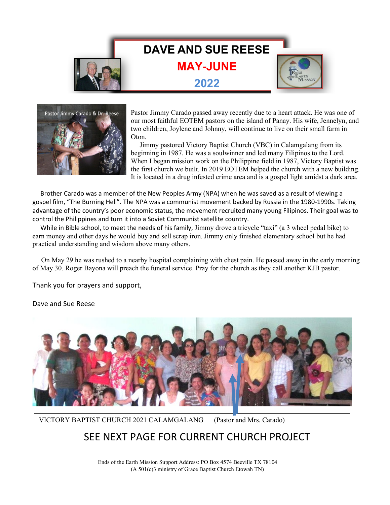## **DAVE AND SUE REESE**

**MAY-JUNE**

**2022**





Pastor Jimmy Carado passed away recently due to a heart attack. He was one of our most faithful EOTEM pastors on the island of Panay. His wife, Jennelyn, and two children, Joylene and Johnny, will continue to live on their small farm in Oton.

 Jimmy pastored Victory Baptist Church (VBC) in Calamgalang from its beginning in 1987. He was a soulwinner and led many Filipinos to the Lord. When I began mission work on the Philippine field in 1987, Victory Baptist was the first church we built. In 2019 EOTEM helped the church with a new building. It is located in a drug infested crime area and is a gospel light amidst a dark area.

 Brother Carado was a member of the New Peoples Army (NPA) when he was saved as a result of viewing a gospel film, "The Burning Hell". The NPA was a communist movement backed by Russia in the 1980-1990s. Taking advantage of the country's poor economic status, the movement recruited many young Filipinos. Their goal was to control the Philippines and turn it into a Soviet Communist satellite country.

 While in Bible school, to meet the needs of his family, Jimmy drove a tricycle "taxi" (a 3 wheel pedal bike) to earn money and other days he would buy and sell scrap iron. Jimmy only finished elementary school but he had practical understanding and wisdom above many others.

 On May 29 he was rushed to a nearby hospital complaining with chest pain. He passed away in the early morning of May 30. Roger Bayona will preach the funeral service. Pray for the church as they call another KJB pastor.

Thank you for prayers and support,

Dave and Sue Reese

Ī



VICTORY BAPTIST CHURCH 2021 CALAMGALANG (Pastor and Mrs. Carado)

## SEE NEXT PAGE FOR CURRENT CHURCH PROJECT

Ends of the Earth Mission Support Address: PO Box 4574 Beeville TX 78104 (A 501(c)3 ministry of Grace Baptist Church Etowah TN)